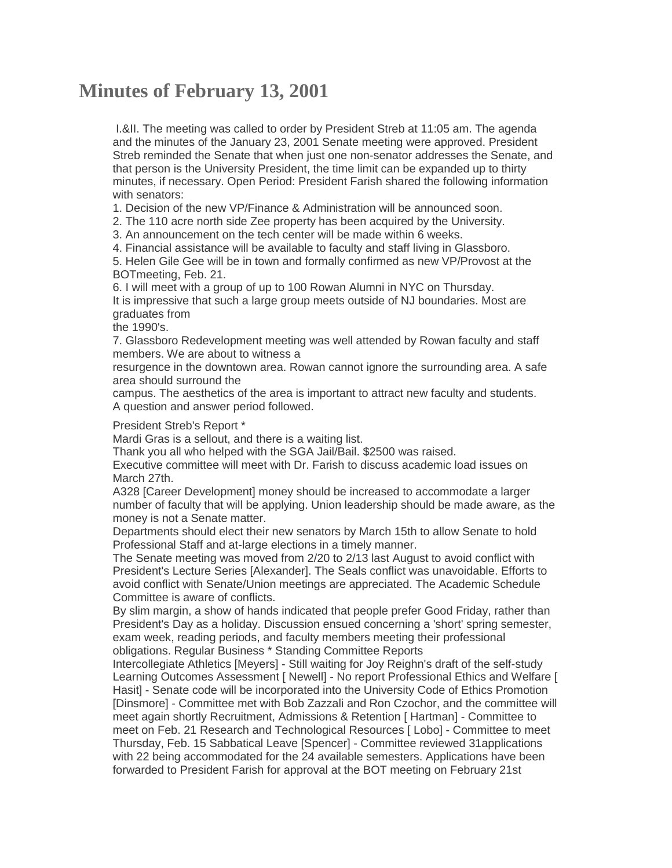## **Minutes of February 13, 2001**

I.&II. The meeting was called to order by President Streb at 11:05 am. The agenda and the minutes of the January 23, 2001 Senate meeting were approved. President Streb reminded the Senate that when just one non-senator addresses the Senate, and that person is the University President, the time limit can be expanded up to thirty minutes, if necessary. Open Period: President Farish shared the following information with senators:

1. Decision of the new VP/Finance & Administration will be announced soon.

2. The 110 acre north side Zee property has been acquired by the University.

3. An announcement on the tech center will be made within 6 weeks.

4. Financial assistance will be available to faculty and staff living in Glassboro.

5. Helen Gile Gee will be in town and formally confirmed as new VP/Provost at the BOTmeeting, Feb. 21.

6. I will meet with a group of up to 100 Rowan Alumni in NYC on Thursday. It is impressive that such a large group meets outside of NJ boundaries. Most are graduates from

the 1990's.

7. Glassboro Redevelopment meeting was well attended by Rowan faculty and staff members. We are about to witness a

resurgence in the downtown area. Rowan cannot ignore the surrounding area. A safe area should surround the

campus. The aesthetics of the area is important to attract new faculty and students. A question and answer period followed.

President Streb's Report \*

Mardi Gras is a sellout, and there is a waiting list.

Thank you all who helped with the SGA Jail/Bail. \$2500 was raised.

Executive committee will meet with Dr. Farish to discuss academic load issues on March 27th.

A328 [Career Development] money should be increased to accommodate a larger number of faculty that will be applying. Union leadership should be made aware, as the money is not a Senate matter.

Departments should elect their new senators by March 15th to allow Senate to hold Professional Staff and at-large elections in a timely manner.

The Senate meeting was moved from 2/20 to 2/13 last August to avoid conflict with President's Lecture Series [Alexander]. The Seals conflict was unavoidable. Efforts to avoid conflict with Senate/Union meetings are appreciated. The Academic Schedule Committee is aware of conflicts.

By slim margin, a show of hands indicated that people prefer Good Friday, rather than President's Day as a holiday. Discussion ensued concerning a 'short' spring semester, exam week, reading periods, and faculty members meeting their professional obligations. Regular Business \* Standing Committee Reports

Intercollegiate Athletics [Meyers] - Still waiting for Joy Reighn's draft of the self-study Learning Outcomes Assessment [ Newell] - No report Professional Ethics and Welfare [ Hasit] - Senate code will be incorporated into the University Code of Ethics Promotion [Dinsmore] - Committee met with Bob Zazzali and Ron Czochor, and the committee will meet again shortly Recruitment, Admissions & Retention [ Hartman] - Committee to meet on Feb. 21 Research and Technological Resources [ Lobo] - Committee to meet Thursday, Feb. 15 Sabbatical Leave [Spencer] - Committee reviewed 31applications with 22 being accommodated for the 24 available semesters. Applications have been forwarded to President Farish for approval at the BOT meeting on February 21st